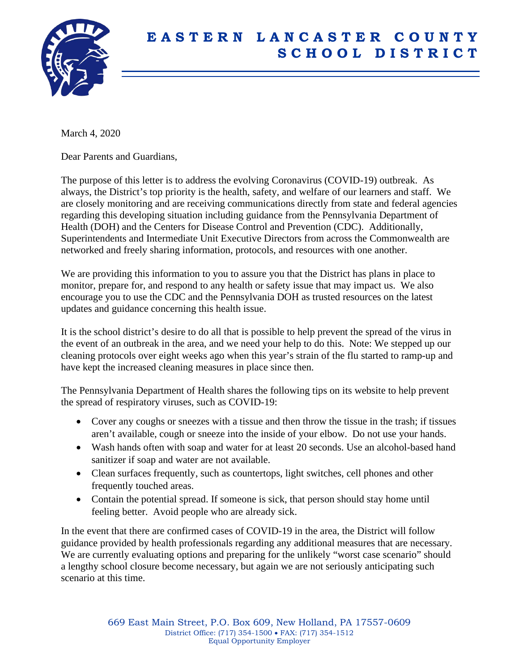

## **E A S T E R N L A N C A S T E R C O U N T Y S C H O O L D I S T R I C T**

March 4, 2020

Dear Parents and Guardians,

The purpose of this letter is to address the evolving Coronavirus (COVID-19) outbreak. As always, the District's top priority is the health, safety, and welfare of our learners and staff. We are closely monitoring and are receiving communications directly from state and federal agencies regarding this developing situation including guidance from the Pennsylvania Department of Health (DOH) and the Centers for Disease Control and Prevention (CDC). Additionally, Superintendents and Intermediate Unit Executive Directors from across the Commonwealth are networked and freely sharing information, protocols, and resources with one another.

We are providing this information to you to assure you that the District has plans in place to monitor, prepare for, and respond to any health or safety issue that may impact us. We also encourage you to use the CDC and the Pennsylvania DOH as trusted resources on the latest updates and guidance concerning this health issue.

It is the school district's desire to do all that is possible to help prevent the spread of the virus in the event of an outbreak in the area, and we need your help to do this. Note: We stepped up our cleaning protocols over eight weeks ago when this year's strain of the flu started to ramp-up and have kept the increased cleaning measures in place since then.

The Pennsylvania Department of Health shares the following tips on its website to help prevent the spread of respiratory viruses, such as COVID-19:

- Cover any coughs or sneezes with a tissue and then throw the tissue in the trash; if tissues aren't available, cough or sneeze into the inside of your elbow. Do not use your hands.
- Wash hands often with soap and water for at least 20 seconds. Use an alcohol-based hand sanitizer if soap and water are not available.
- Clean surfaces frequently, such as countertops, light switches, cell phones and other frequently touched areas.
- Contain the potential spread. If someone is sick, that person should stay home until feeling better. Avoid people who are already sick.

In the event that there are confirmed cases of COVID-19 in the area, the District will follow guidance provided by health professionals regarding any additional measures that are necessary. We are currently evaluating options and preparing for the unlikely "worst case scenario" should a lengthy school closure become necessary, but again we are not seriously anticipating such scenario at this time.